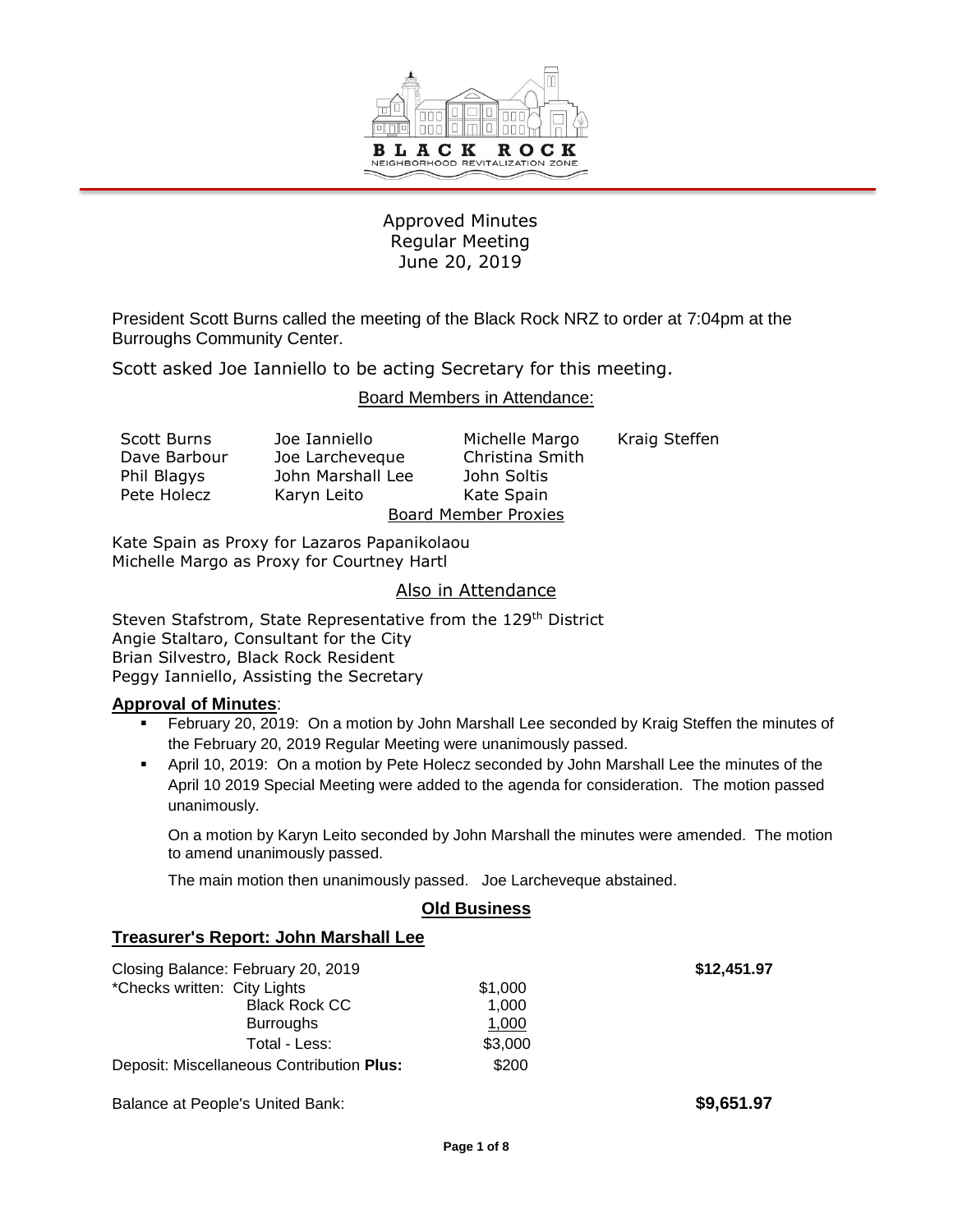

## Approved Minutes Regular Meeting June 20, 2019

President Scott Burns called the meeting of the Black Rock NRZ to order at 7:04pm at the Burroughs Community Center.

Scott asked Joe Ianniello to be acting Secretary for this meeting.

#### Board Members in Attendance:

| J٥  |
|-----|
| J٥  |
| Jol |
| Ka  |
|     |

hn Marshall Lee John Soltis ryn Leito Kate Spain

e Ianniello **Michelle Margo** Kraig Steffen e Larcheveque Christina Smith Board Member Proxies

Kate Spain as Proxy for Lazaros Papanikolaou Michelle Margo as Proxy for Courtney Hartl

#### Also in Attendance

Steven Stafstrom, State Representative from the 129<sup>th</sup> District Angie Staltaro, Consultant for the City Brian Silvestro, Black Rock Resident Peggy Ianniello, Assisting the Secretary

#### **Approval of Minutes**:

- February 20, 2019: On a motion by John Marshall Lee seconded by Kraig Steffen the minutes of the February 20, 2019 Regular Meeting were unanimously passed.
- April 10, 2019: On a motion by Pete Holecz seconded by John Marshall Lee the minutes of the April 10 2019 Special Meeting were added to the agenda for consideration. The motion passed unanimously.

On a motion by Karyn Leito seconded by John Marshall the minutes were amended. The motion to amend unanimously passed.

The main motion then unanimously passed. Joe Larcheveque abstained.

## **Old Business**

#### **Treasurer's Report: John Marshall Lee**

| Closing Balance: February 20, 2019        |         |
|-------------------------------------------|---------|
| *Checks written: City Lights              | \$1,000 |
| <b>Black Rock CC</b>                      | 1,000   |
| <b>Burroughs</b>                          | 1,000   |
| Total - Less:                             | \$3,000 |
| Deposit: Miscellaneous Contribution Plus: | \$200   |

Balance at People's United Bank: **\$9,651.97 \$9,651.97** 

 $$12,451.97$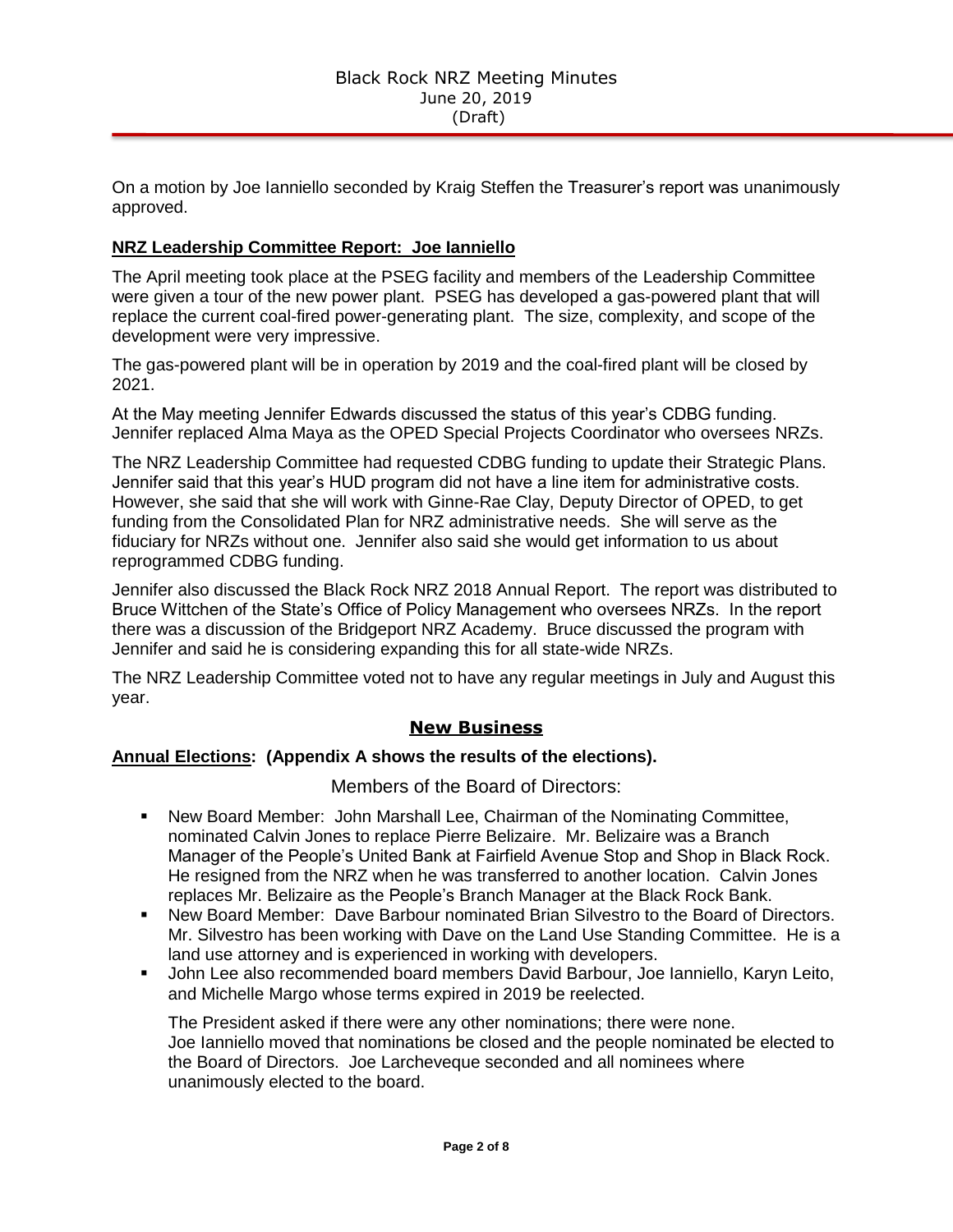On a motion by Joe Ianniello seconded by Kraig Steffen the Treasurer's report was unanimously approved.

### **NRZ Leadership Committee Report: Joe Ianniello**

The April meeting took place at the PSEG facility and members of the Leadership Committee were given a tour of the new power plant. PSEG has developed a gas-powered plant that will replace the current coal-fired power-generating plant. The size, complexity, and scope of the development were very impressive.

The gas-powered plant will be in operation by 2019 and the coal-fired plant will be closed by 2021.

At the May meeting Jennifer Edwards discussed the status of this year's CDBG funding. Jennifer replaced Alma Maya as the OPED Special Projects Coordinator who oversees NRZs.

The NRZ Leadership Committee had requested CDBG funding to update their Strategic Plans. Jennifer said that this year's HUD program did not have a line item for administrative costs. However, she said that she will work with Ginne-Rae Clay, Deputy Director of OPED, to get funding from the Consolidated Plan for NRZ administrative needs. She will serve as the fiduciary for NRZs without one. Jennifer also said she would get information to us about reprogrammed CDBG funding.

Jennifer also discussed the Black Rock NRZ 2018 Annual Report. The report was distributed to Bruce Wittchen of the State's Office of Policy Management who oversees NRZs. In the report there was a discussion of the Bridgeport NRZ Academy. Bruce discussed the program with Jennifer and said he is considering expanding this for all state-wide NRZs.

The NRZ Leadership Committee voted not to have any regular meetings in July and August this year.

## **New Business**

#### **Annual Elections: (Appendix A shows the results of the elections).**

Members of the Board of Directors:

- New Board Member: John Marshall Lee, Chairman of the Nominating Committee, nominated Calvin Jones to replace Pierre Belizaire. Mr. Belizaire was a Branch Manager of the People's United Bank at Fairfield Avenue Stop and Shop in Black Rock. He resigned from the NRZ when he was transferred to another location. Calvin Jones replaces Mr. Belizaire as the People's Branch Manager at the Black Rock Bank.
- New Board Member: Dave Barbour nominated Brian Silvestro to the Board of Directors. Mr. Silvestro has been working with Dave on the Land Use Standing Committee. He is a land use attorney and is experienced in working with developers.
- John Lee also recommended board members David Barbour, Joe Ianniello, Karyn Leito, and Michelle Margo whose terms expired in 2019 be reelected.

The President asked if there were any other nominations; there were none. Joe Ianniello moved that nominations be closed and the people nominated be elected to the Board of Directors. Joe Larcheveque seconded and all nominees where unanimously elected to the board.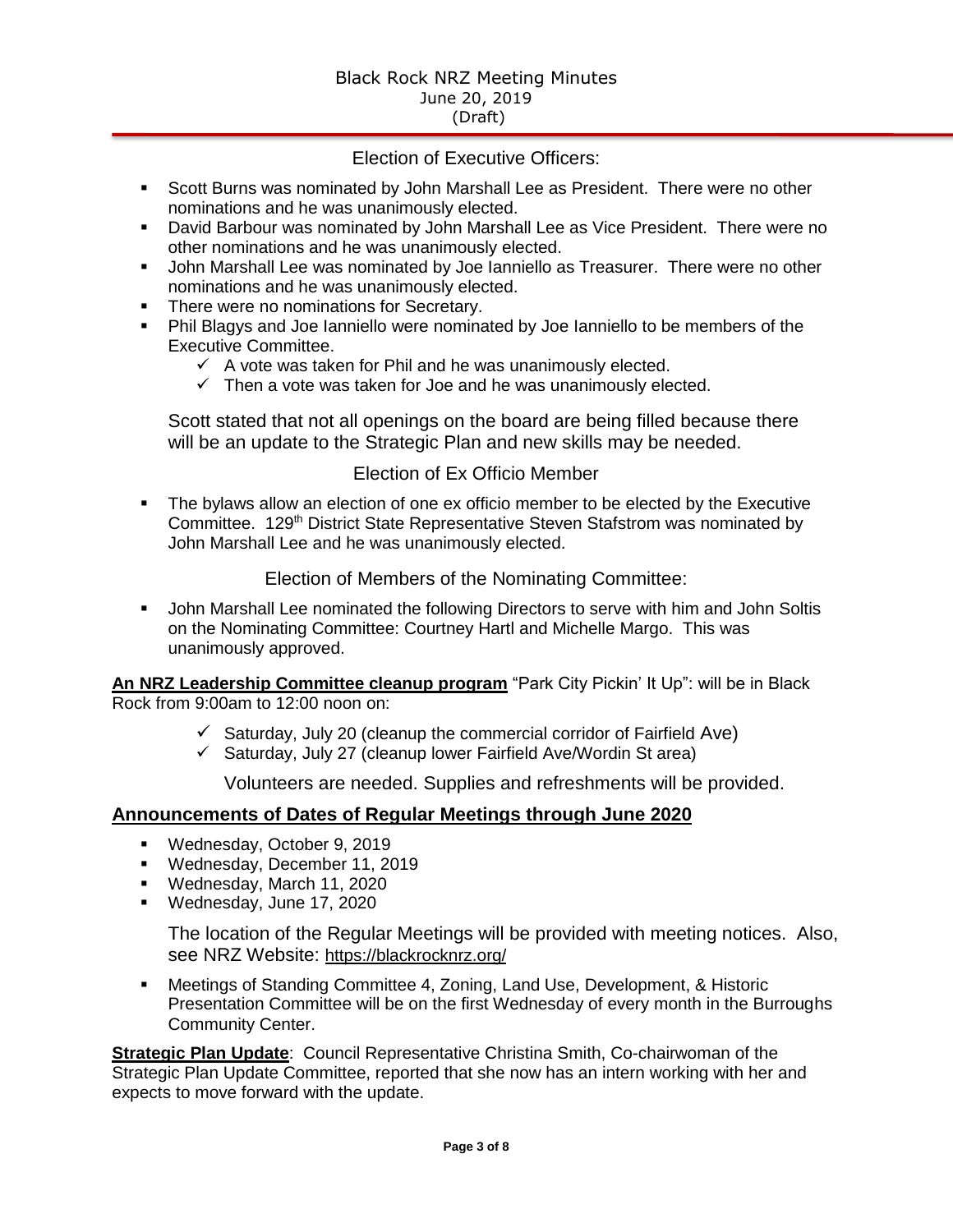## Election of Executive Officers:

- **Scott Burns was nominated by John Marshall Lee as President. There were no other** nominations and he was unanimously elected.
- David Barbour was nominated by John Marshall Lee as Vice President. There were no other nominations and he was unanimously elected.
- John Marshall Lee was nominated by Joe Ianniello as Treasurer. There were no other nominations and he was unanimously elected.
- **There were no nominations for Secretary.**
- Phil Blagys and Joe Ianniello were nominated by Joe Ianniello to be members of the Executive Committee.
	- $\checkmark$  A vote was taken for Phil and he was unanimously elected.
	- $\checkmark$  Then a vote was taken for Joe and he was unanimously elected.

Scott stated that not all openings on the board are being filled because there will be an update to the Strategic Plan and new skills may be needed.

## Election of Ex Officio Member

 The bylaws allow an election of one ex officio member to be elected by the Executive Committee. 129<sup>th</sup> District State Representative Steven Stafstrom was nominated by John Marshall Lee and he was unanimously elected.

Election of Members of the Nominating Committee:

 John Marshall Lee nominated the following Directors to serve with him and John Soltis on the Nominating Committee: Courtney Hartl and Michelle Margo. This was unanimously approved.

**An NRZ Leadership Committee cleanup program** "Park City Pickin' It Up": will be in Black Rock from 9:00am to 12:00 noon on:

- $\checkmark$  Saturday, July 20 (cleanup the commercial corridor of Fairfield Ave)
- $\checkmark$  Saturday, July 27 (cleanup lower Fairfield Ave/Wordin St area)

Volunteers are needed. Supplies and refreshments will be provided.

## **Announcements of Dates of Regular Meetings through June 2020**

- Wednesday, October 9, 2019
- Wednesday, December 11, 2019
- Wednesday, March 11, 2020
- Wednesday, June 17, 2020

The location of the Regular Meetings will be provided with meeting notices. Also, see NRZ Website: https://blackrocknrz.org/

 Meetings of Standing Committee 4, Zoning, Land Use, Development, & Historic Presentation Committee will be on the first Wednesday of every month in the Burroughs Community Center.

**Strategic Plan Update**: Council Representative Christina Smith, Co-chairwoman of the Strategic Plan Update Committee, reported that she now has an intern working with her and expects to move forward with the update.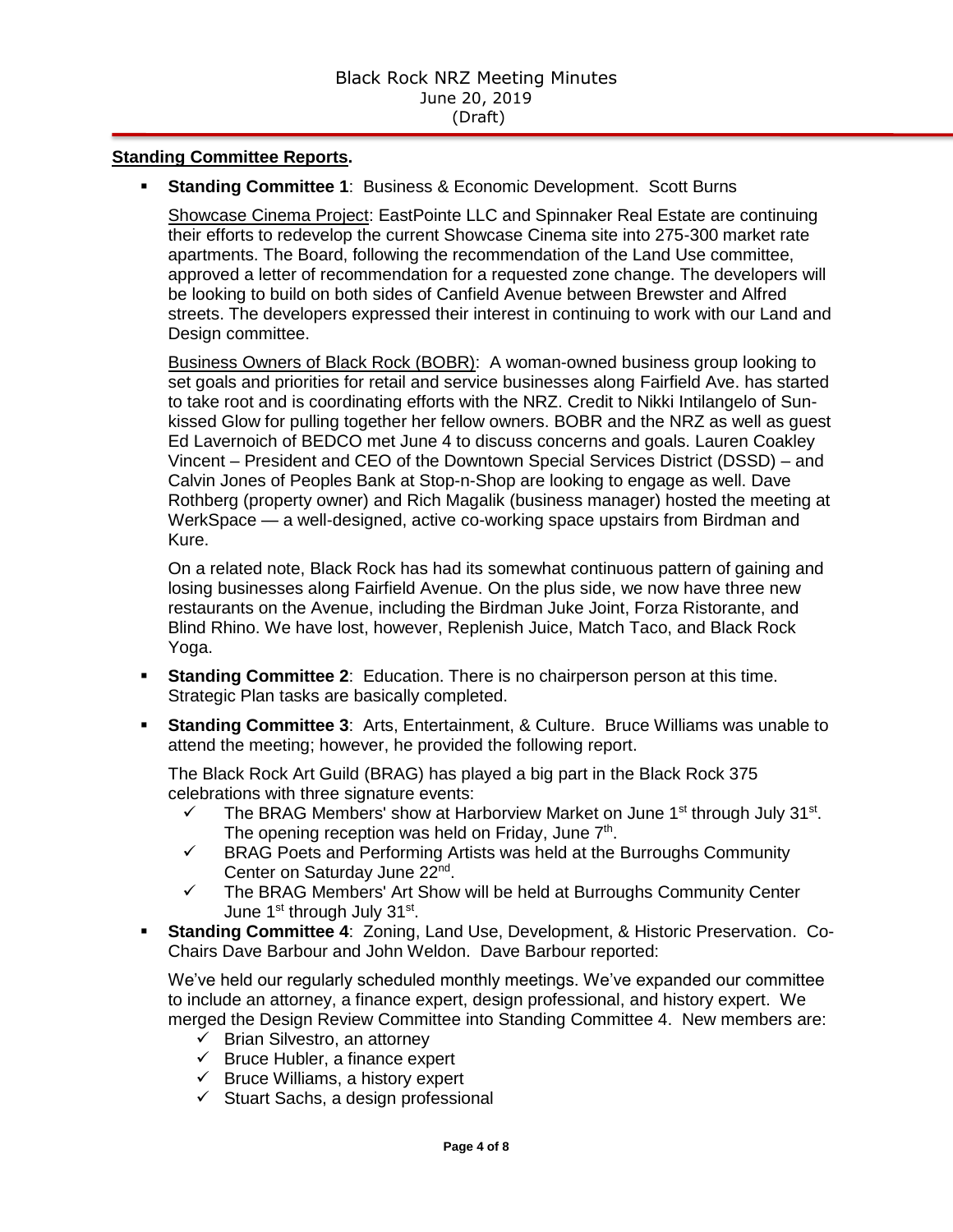#### **Standing Committee Reports.**

**Standing Committee 1: Business & Economic Development. Scott Burns** 

Showcase Cinema Project: EastPointe LLC and Spinnaker Real Estate are continuing their efforts to redevelop the current Showcase Cinema site into 275-300 market rate apartments. The Board, following the recommendation of the Land Use committee, approved a letter of recommendation for a requested zone change. The developers will be looking to build on both sides of Canfield Avenue between Brewster and Alfred streets. The developers expressed their interest in continuing to work with our Land and Design committee.

Business Owners of Black Rock (BOBR): A woman-owned business group looking to set goals and priorities for retail and service businesses along Fairfield Ave. has started to take root and is coordinating efforts with the NRZ. Credit to Nikki Intilangelo of Sunkissed Glow for pulling together her fellow owners. BOBR and the NRZ as well as guest Ed Lavernoich of BEDCO met June 4 to discuss concerns and goals. Lauren Coakley Vincent – President and CEO of the Downtown Special Services District (DSSD) – and Calvin Jones of Peoples Bank at Stop-n-Shop are looking to engage as well. Dave Rothberg (property owner) and Rich Magalik (business manager) hosted the meeting at WerkSpace — a well-designed, active co-working space upstairs from Birdman and Kure.

On a related note, Black Rock has had its somewhat continuous pattern of gaining and losing businesses along Fairfield Avenue. On the plus side, we now have three new restaurants on the Avenue, including the Birdman Juke Joint, Forza Ristorante, and Blind Rhino. We have lost, however, Replenish Juice, Match Taco, and Black Rock Yoga.

- **Standing Committee 2:** Education. There is no chairperson person at this time. Strategic Plan tasks are basically completed.
- **Standing Committee 3**: Arts, Entertainment, & Culture. Bruce Williams was unable to attend the meeting; however, he provided the following report.

The Black Rock Art Guild (BRAG) has played a big part in the Black Rock 375 celebrations with three signature events:

- $\checkmark$  The BRAG Members' show at Harborview Market on June 1<sup>st</sup> through July 31<sup>st</sup>. The opening reception was held on Friday, June 7<sup>th</sup>.
- $\checkmark$  BRAG Poets and Performing Artists was held at the Burroughs Community Center on Saturday June 22<sup>nd</sup>.
- $\checkmark$  The BRAG Members' Art Show will be held at Burroughs Community Center June 1st through July 31st.
- **Standing Committee 4**: Zoning, Land Use, Development, & Historic Preservation. Co-Chairs Dave Barbour and John Weldon. Dave Barbour reported:

We've held our regularly scheduled monthly meetings. We've expanded our committee to include an attorney, a finance expert, design professional, and history expert. We merged the Design Review Committee into Standing Committee 4. New members are:

- $\checkmark$  Brian Silvestro, an attorney
- $\checkmark$  Bruce Hubler, a finance expert
- $\checkmark$  Bruce Williams, a history expert
- $\checkmark$  Stuart Sachs, a design professional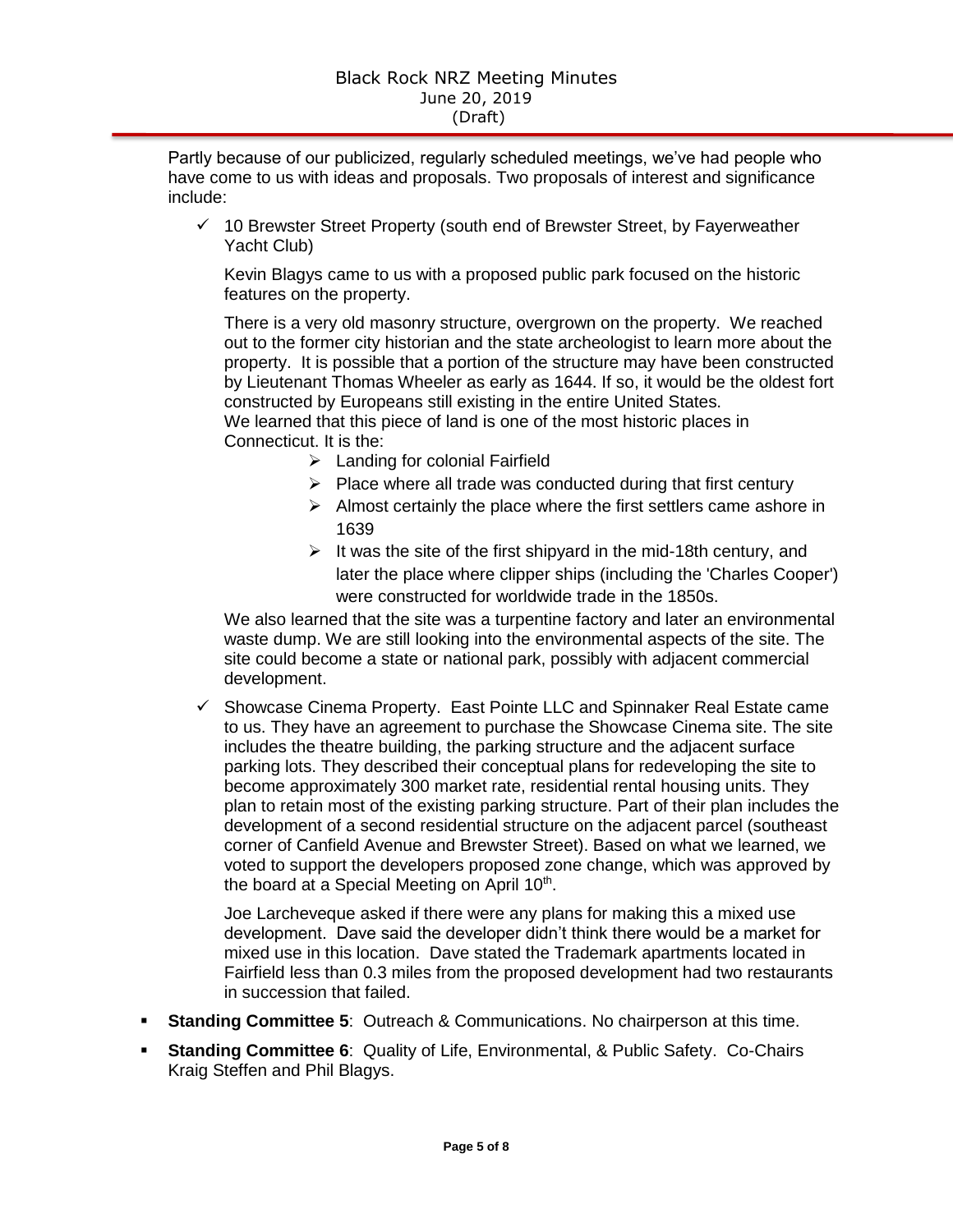Partly because of our publicized, regularly scheduled meetings, we've had people who have come to us with ideas and proposals. Two proposals of interest and significance include:

 $\checkmark$  10 Brewster Street Property (south end of Brewster Street, by Fayerweather Yacht Club)

Kevin Blagys came to us with a proposed public park focused on the historic features on the property.

There is a very old masonry structure, overgrown on the property. We reached out to the former city historian and the state archeologist to learn more about the property. It is possible that a portion of the structure may have been constructed by Lieutenant Thomas Wheeler as early as 1644. If so, it would be the oldest fort constructed by Europeans still existing in the entire United States.

We learned that this piece of land is one of the most historic places in Connecticut. It is the:

- $\triangleright$  Landing for colonial Fairfield
- $\triangleright$  Place where all trade was conducted during that first century
- $\triangleright$  Almost certainly the place where the first settlers came ashore in 1639
- $\triangleright$  It was the site of the first shipyard in the mid-18th century, and later the place where clipper ships (including the 'Charles Cooper') were constructed for worldwide trade in the 1850s.

We also learned that the site was a turpentine factory and later an environmental waste dump. We are still looking into the environmental aspects of the site. The site could become a state or national park, possibly with adjacent commercial development.

 $\checkmark$  Showcase Cinema Property. East Pointe LLC and Spinnaker Real Estate came to us. They have an agreement to purchase the Showcase Cinema site. The site includes the theatre building, the parking structure and the adjacent surface parking lots. They described their conceptual plans for redeveloping the site to become approximately 300 market rate, residential rental housing units. They plan to retain most of the existing parking structure. Part of their plan includes the development of a second residential structure on the adjacent parcel (southeast corner of Canfield Avenue and Brewster Street). Based on what we learned, we voted to support the developers proposed zone change, which was approved by the board at a Special Meeting on April 10<sup>th</sup>.

Joe Larcheveque asked if there were any plans for making this a mixed use development. Dave said the developer didn't think there would be a market for mixed use in this location. Dave stated the Trademark apartments located in Fairfield less than 0.3 miles from the proposed development had two restaurants in succession that failed.

- **Standing Committee 5**: Outreach & Communications. No chairperson at this time.
- **Standing Committee 6**: Quality of Life, Environmental, & Public Safety. Co-Chairs Kraig Steffen and Phil Blagys.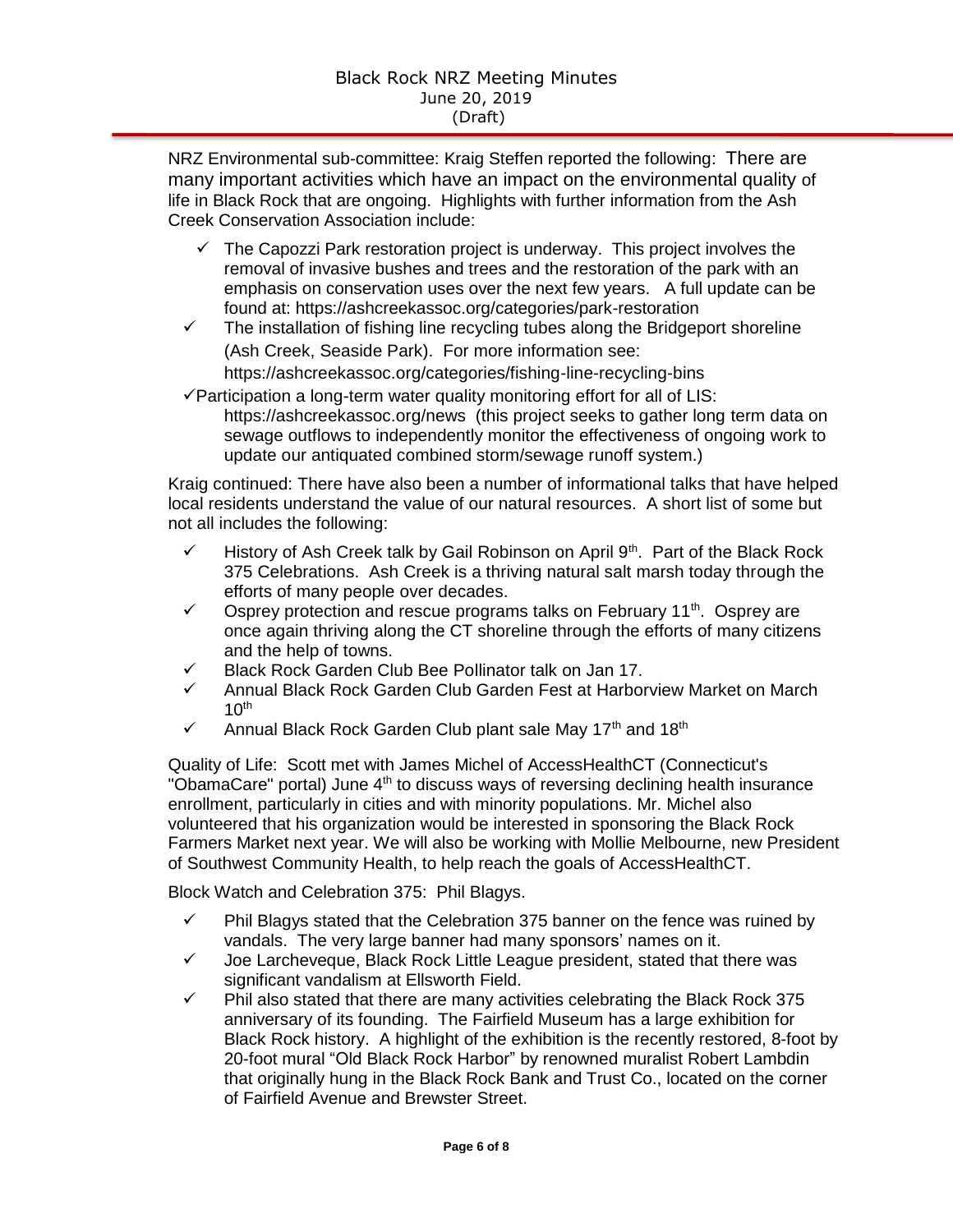NRZ Environmental sub-committee: Kraig Steffen reported the following: There are many important activities which have an impact on the environmental quality of life in Black Rock that are ongoing. Highlights with further information from the Ash Creek Conservation Association include:

- $\checkmark$  The Capozzi Park restoration project is underway. This project involves the removal of invasive bushes and trees and the restoration of the park with an emphasis on conservation uses over the next few years. A full update can be found at: https://ashcreekassoc.org/categories/park-restoration
- $\checkmark$  The installation of fishing line recycling tubes along the Bridgeport shoreline (Ash Creek, Seaside Park). For more information see: https://ashcreekassoc.org/categories/fishing-line-recycling-bins
- $\checkmark$  Participation a long-term water quality monitoring effort for all of LIS: https://ashcreekassoc.org/news (this project seeks to gather long term data on sewage outflows to independently monitor the effectiveness of ongoing work to update our antiquated combined storm/sewage runoff system.)

Kraig continued: There have also been a number of informational talks that have helped local residents understand the value of our natural resources. A short list of some but not all includes the following:

- History of Ash Creek talk by Gail Robinson on April  $9<sup>th</sup>$ . Part of the Black Rock 375 Celebrations. Ash Creek is a thriving natural salt marsh today through the efforts of many people over decades.
- $\checkmark$  Osprey protection and rescue programs talks on February 11<sup>th</sup>. Osprey are once again thriving along the CT shoreline through the efforts of many citizens and the help of towns.
- $\checkmark$  Black Rock Garden Club Bee Pollinator talk on Jan 17.
- Annual Black Rock Garden Club Garden Fest at Harborview Market on March  $10<sup>th</sup>$
- $\checkmark$  Annual Black Rock Garden Club plant sale May 17<sup>th</sup> and 18<sup>th</sup>

Quality of Life: Scott met with James Michel of AccessHealthCT (Connecticut's "ObamaCare" portal) June 4<sup>th</sup> to discuss ways of reversing declining health insurance enrollment, particularly in cities and with minority populations. Mr. Michel also volunteered that his organization would be interested in sponsoring the Black Rock Farmers Market next year. We will also be working with Mollie Melbourne, new President of Southwest Community Health, to help reach the goals of AccessHealthCT.

Block Watch and Celebration 375: Phil Blagys.

- $\checkmark$  Phil Blagys stated that the Celebration 375 banner on the fence was ruined by vandals. The very large banner had many sponsors' names on it.
- $\checkmark$  Joe Larcheveque, Black Rock Little League president, stated that there was significant vandalism at Ellsworth Field.
- $\checkmark$  Phil also stated that there are many activities celebrating the Black Rock 375 anniversary of its founding. The Fairfield Museum has a large exhibition for Black Rock history. A highlight of the exhibition is the recently restored, 8-foot by 20-foot mural "Old Black Rock Harbor" by renowned muralist Robert Lambdin that originally hung in the Black Rock Bank and Trust Co., located on the corner of Fairfield Avenue and Brewster Street.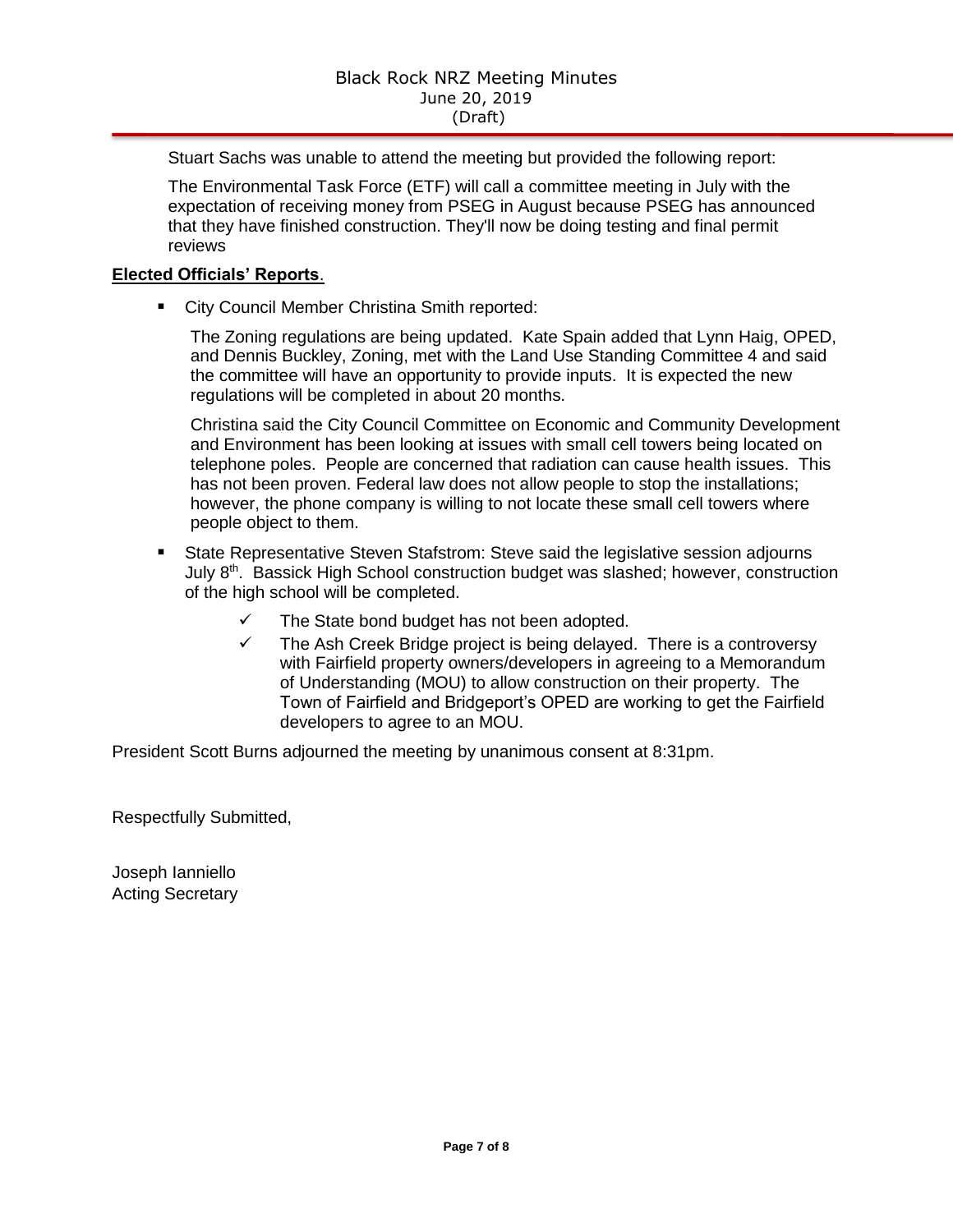Stuart Sachs was unable to attend the meeting but provided the following report:

The Environmental Task Force (ETF) will call a committee meeting in July with the expectation of receiving money from PSEG in August because PSEG has announced that they have finished construction. They'll now be doing testing and final permit reviews

## **Elected Officials' Reports**.

**EXECT:** City Council Member Christina Smith reported:

The Zoning regulations are being updated. Kate Spain added that Lynn Haig, OPED, and Dennis Buckley, Zoning, met with the Land Use Standing Committee 4 and said the committee will have an opportunity to provide inputs. It is expected the new regulations will be completed in about 20 months.

Christina said the City Council Committee on Economic and Community Development and Environment has been looking at issues with small cell towers being located on telephone poles. People are concerned that radiation can cause health issues. This has not been proven. Federal law does not allow people to stop the installations; however, the phone company is willing to not locate these small cell towers where people object to them.

- State Representative Steven Stafstrom: Steve said the legislative session adjourns July 8<sup>th</sup>. Bassick High School construction budget was slashed; however, construction of the high school will be completed.
	- $\checkmark$  The State bond budget has not been adopted.
	- $\checkmark$  The Ash Creek Bridge project is being delayed. There is a controversy with Fairfield property owners/developers in agreeing to a Memorandum of Understanding (MOU) to allow construction on their property. The Town of Fairfield and Bridgeport's OPED are working to get the Fairfield developers to agree to an MOU.

President Scott Burns adjourned the meeting by unanimous consent at 8:31pm.

Respectfully Submitted,

Joseph Ianniello Acting Secretary